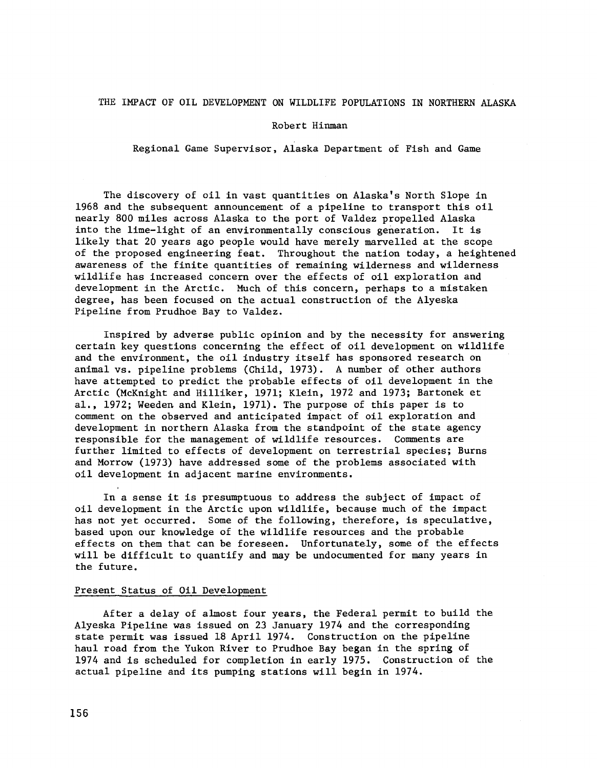# THE IMPACT OF OIL DEVELOPMENT ON WILDLIFE POPULATIONS IN NORTHERN ALASKA

#### Robert Hinman

Regional Game Supervisor, Alaska Department of Fish and Game

The discovery of oil in vast quantities on Alaska's North Slope in 1968 and the subsequent announcement of a pipeline to transport this oil nearly 800 miles across Alaska to the port of Valdez propelled Alaska into the lime-light of an environmentally conscious generation. It is likely that 20 years ago people would have merely marvelled at the scope of the proposed engineering feat. Throughout the nation today, a heightened awareness of the finite quantities of remaining wilderness and wilderness wildlife has increased concern over the effects of oil exploration and development in the Arctic. Much of this concern, perhaps to a mistaken degree, has been focused on the actual construction of the Alyeska Pipeline from Prudhoe Bay to Valdez.

Inspired by adverse public opinion and by the necessity for answering certain key questions concerning the effect of oil development on wildlife and the environment, the oil industry itself has sponsored research on animal vs. pipeline problems (Child, 1973). A number of other authors have attempted to predict the probable effects of oil development in the Arctic (McKnight and Hilliker, 1971; Klein, 1972 and 1973; Bartonek et al., 1972; Weeden and Klein, 1971). The purpose of this paper is to comment on the observed and anticipated impact of oil exploration and development in northern Alaska from the standpoint of the state agency responsible for the management of wildlife resources. Comments are further limited to effects of development on terrestrial species; Burns and Morrow (1973) have addressed some of the problems associated with oil development in adjacent marine environments.

In a sense it is presumptuous to address the subject of impact of oil development in the Arctic upon wildlife, because much of the impact has not yet occurred. Some of the following, therefore, is speculative, based upon our knowledge of the wildlife resources and the probable effects on them that can be foreseen. Unfortunately, some of the effects will be difficult to quantify and may be undocumented for many years in the future.

# Present Status of Oil Development

After a delay of almost four years, the Federal permit to build the Alyeska Pipeline was issued on 23 January 1974 and the corresponding state permit was issued 18 April 1974. Construction on the pipeline haul road from the Yukon River to Prudhoe Bay began in the spring of 1974 and is scheduled for completion in early 1975. Construction of the actual pipeline and its pumping stations will begin in 1974.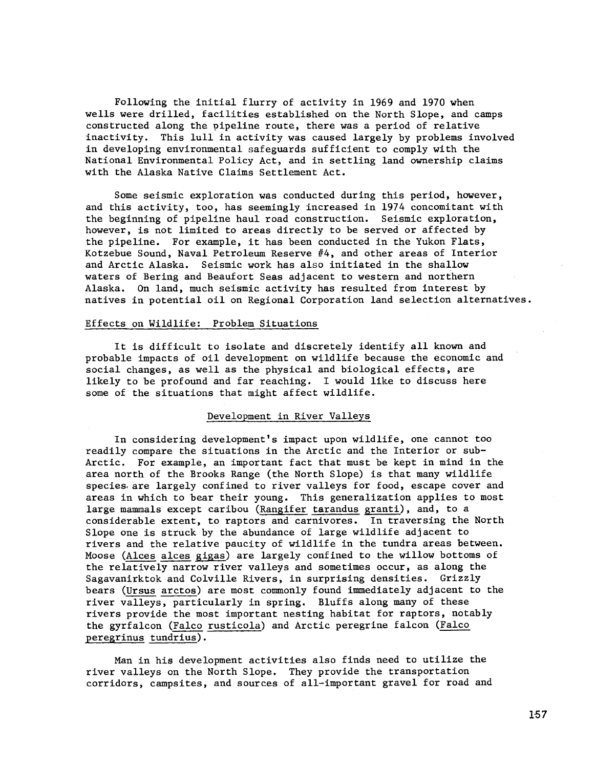Following the initial flurry of activity in 1969 and 1970 when wells were drilled, facilities established on the North Slope, and camps constructed along the pipeline route, there was a period of relative inactivity. This lull in activity was caused largely by problems involved in developing environmental safeguards sufficient to comply with the National Environmental Policy Act, and in settling land ownership claims with the Alaska Native Claims Settlement Act.

Some seismic exploration was conducted during this period, however, and this activity, too, has seemingly increased in 1974 concomitant with the beginning of pipeline haul road construction. Seismic exploration, however, is not limited to areas directly to be served or affected by the pipeline. For example, it has been conducted in the Yukon Flats, Kotzebue Sound, Naval Petroleum Reserve #4, and other areas of Interior and Arctic Alaska. Seismic work has also initiated in the shallow waters of Bering and Beaufort Seas adjacent to western and northern Alaska. On land, much seismic activity has resulted from interest by natives in potential oil on Regional Corporation land selection alternatives.

## Effects on Wildlife: Problem Situations

It is difficult to isolate and discretely identify all known and probable impacts of oil development on wildlife because the economic and social changes, as well as the physical and biological effects, are likely to be profound and far reaching. I would like to discuss here some of the situations that might affect wildlife.

# Development in River Valleys

In considering development's impact upon wildlife, one cannot too readily compare the situations in the Arctic and the Interior or sub-Arctic. For example, an important fact that must be kept in mind in the area north of the Brooks Range (the North Slope) is that many wildlife species. are largely confined to river valleys for food, escape cover and areas in which to bear their young. This generalization applies to most large mammals except caribou (Rangifer tarandus granti), and, to a considerable extent, to raptors and carnivores. In traversing the North Slope one is struck by the abundance of large wildlife adjacent to rivers and the relative paucity of wildlife in the tundra areas between. Moose (Alces alces gigas) are largely confined to the willow bottoms of the relatively narrow river valleys and sometimes occur, as along the Sagavanirktok and Colville Rivers, in surprising densities. Grizzly bears (Ursus arctos) are most commonly found immediately adjacent to the river valleys, particularly in spring. Bluffs along many of these rivers provide the most important nesting habitat for raptors, notably the gyrfalcon (Falco rusticola) and Arctic peregrine falcon (Falco peregrinus tundrius).

Man in his development activities also finds need to utilize the river valleys on the North Slope. They provide the transportation corridors, campsites, and sources of all-important gravel for road and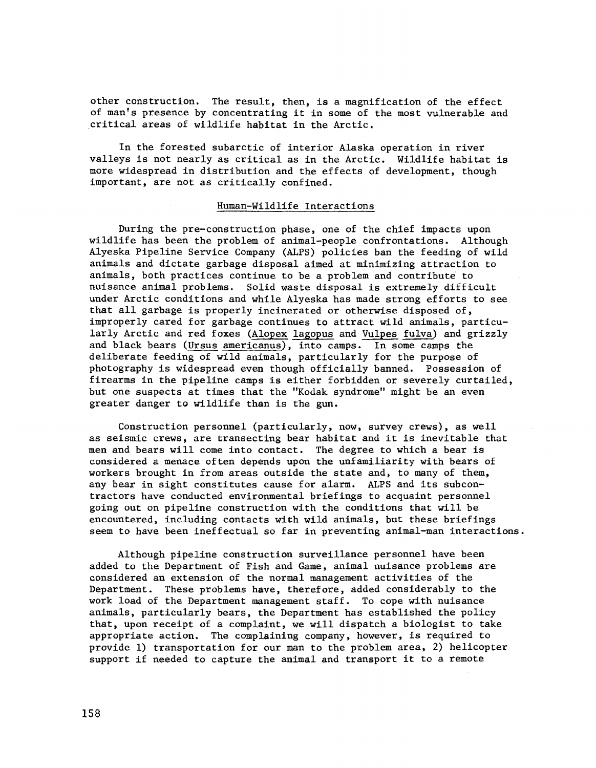other construction. The result, then, is a magnification of the effect of man's presence by concentrating it in some of the most vulnerable and .critical areas of wildlife habitat in the Arctic.

In the forested subarctic of interior Alaska operation in river valleys is not nearly as critical as in the Arctic. Wildlife habitat is more widespread in distribution and the effects of development, though important, are not as critically confined.

### Human-Wildlife Interactions

During the pre-construction phase, one of the chief impacts upon wildlife has been the problem of animal-people confrontations. Although Alyeska Pipeline Service Company (ALPS) policies ban the feeding of wild animals and dictate garbage disposal aimed at minimizing attraction to animals, both practices continue to be a problem and contribute to nuisance animal problems. Solid waste disposal is extremely difficult under Arctic conditions and while Alyeska has made strong efforts to see that all garbage is properly incinerated or otherwise disposed of, improperly cared for garbage continues to attract wild animals, particularly Arctic and red foxes (Alopex lagopus and Vulpes fulva) and grizzly and black bears (Ursus americanus), into camps. In some camps the deliberate feeding of wild animals, particularly for the purpose of photography is widespread even though officially banned. Possession of firearms in the pipeline camps is either forbidden or severely curtailed, but one suspects at times that the "Kodak syndrome" might be an even greater danger to wildlife than is the gun.

Construction personnel (particularly, now, survey crews), as well as seismic crews, are transecting bear habitat and it is inevitable that men and bears will come into contact. The degree to which a bear is considered a menace often depends upon the unfamiliarity with bears of workers brought in from areas outside the state and, to many of them, any bear in sight constitutes cause for alarm. ALPS and its subcontractors have conducted environmental briefings to acquaint personnel going out on pipeline construction with the conditions that will be encountered, including contacts with wild animals, but these briefings seem to have been ineffectual so far in preventing animal-man interactions.

Although pipeline construction surveillance personnel have been added to the Department of Fish and Game, animal nuisance problems are considered an extension of the normal management activities of the Department. These problems have, therefore, added considerably to the work load of the Department management staff. To cope with nuisance animals, particularly bears, the Department has established the policy that, upon receipt of a complaint, we will dispatch a biologist to take appropriate action. The complaining company, however, is required to provide 1) transportation for our man to the problem area, 2) helicopter support if needed to capture the animal and transport it to a remote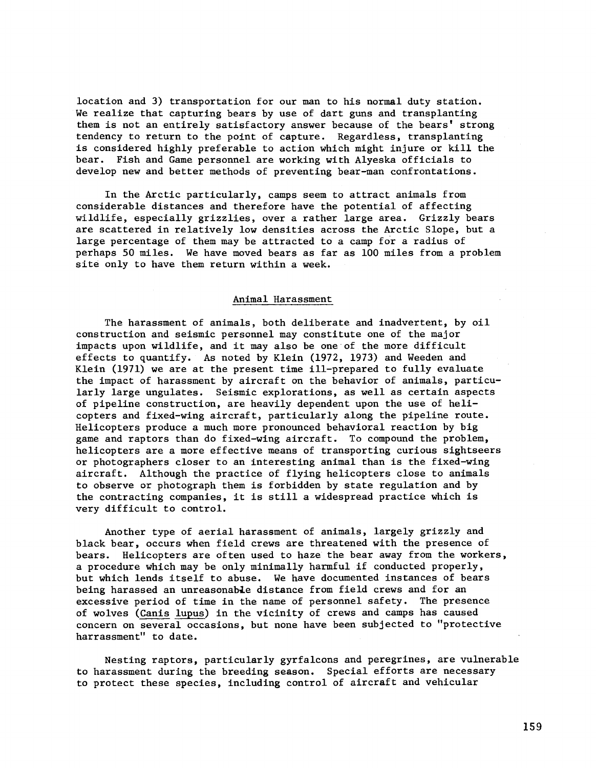location and 3) transportation for our man to his normal duty station. We realize that capturing bears by use of dart guns and transplanting them is not an entirely satisfactory answer because of the bears' strong tendency to return to the point of capture. Regardless, transplanting is considered highly preferable to action which might injure or kill the bear. Fish and Game personnel are working with Alyeska officials to develop new and better methods of preventing hear-man confrontations.

In the Arctic particularly, camps seem to attract animals from considerable distances and therefore have the potential of affecting wildlife, especially grizzlies, over a rather large area. Grizzly bears are scattered in relatively low densities across the Arctic Slope, but a large percentage of them may be attracted to a camp for a radius of perhaps 50 miles. We have moved bears as far as 100 miles from a problem site only to have them return within a week.

## Animal Harassment

The harassment of animals, both deliberate and inadvertent, by oil construction and seismic personnel may constitute one of the major impacts upon wildlife, and it may also be one of the more difficult effects to quantify. As noted by Klein (1972, 1973) and Weeden and Klein (1971) we are at the present time ill-prepared to fully evaluate the impact of harassment by aircraft on the behavior of animals, particularly large ungulates. Seismic explorations, as well as certain aspects of pipeline construction, are heavily dependent upon the use of helicopters and fixed-wing aircraft, particularly along the pipeline route. Helicopters produce a much more pronounced behavioral reaction by big game and raptors than do fixed-wing aircraft. To compound the problem, helicopters are a more effective means of transporting curious sightseers or photographers closer to an interesting animal than is the fixed-wing aircraft. Although the practice of flying helicopters close to animals to observe or photograph them is forbidden by state regulation and by the contracting companies, it is still a widespread practice which is very difficult to control.

Another type of aerial harassment of animals, largely grizzly and black bear, occurs when field crews are threatened with the presence of bears. Helicopters are often used to haze the bear away from the workers, a procedure which may be only minimally harmful if conducted properly, but which lends itself to abuse. We have documented instances of bears being harassed an unreasonable distance from field crews and for an excessive period of time in the name of personnel safety. The presence of wolves (Canis lupus) in the vicinity of crews and camps has caused concern on several occasions, but none have been subjected to "protective harrassment" to date.

Nesting raptors, particularly gyrfalcons and peregrines, are vulnerable to harassment during the breeding season. Special efforts are necessary to protect these species, including control of aircraft and vehicular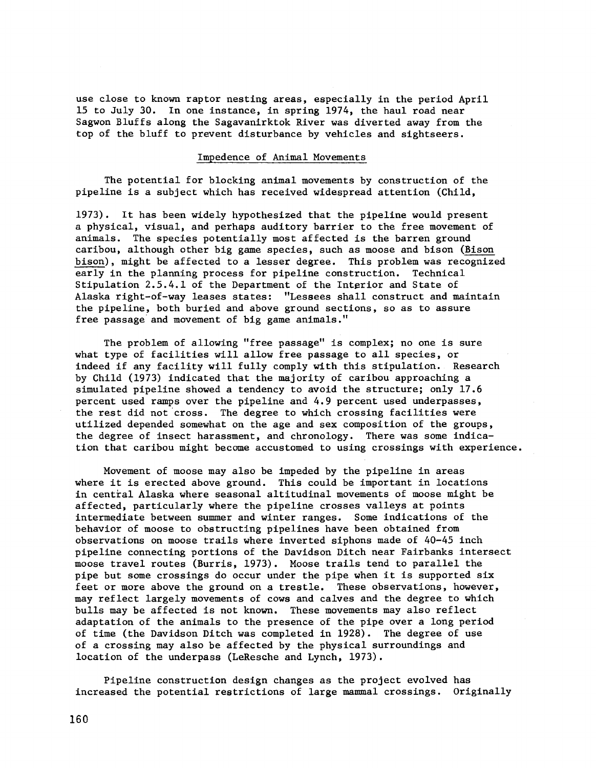use close to known raptor nesting areas, especially in the period April 15 to July 30. In one instance, in spring 1974, the haul road near Sagwon Bluffs along the Sagavanirktok River was diverted away from the top of the bluff to prevent disturbance by vehicles and sightseers.

#### Impedence of Animal Movements

The potential for blocking animal movements by construction of the pipeline is a subject which has received widespread attention (Child,

1973). It has been widely hypothesized that the pipeline would present a physical, visual, and perhaps auditory barrier to the free movement of animals. The species potentially most affected is the barren ground caribou, although other big game species, such as moose and bison (Bison bison), might be affected to a lesser degree. This problem was recognized early in the planning process for pipeline construction. Technical Stipulation 2.5.4.1 of the Department of the Interior and State of Alaska right-of-way leases states: "Lessees shall construct and maintain the pipeline, both buried and above ground sections, so as to assure free passage and movement of big game animals."

The problem of allowing "free passage" is complex; no one is sure what type of facilities will allow free passage to all species, or indeed if any facility will fully comply with this stipulation. Research by Child (1973) indicated that the majority of caribou approaching a simulated pipeline showed a tendency to avoid the structure; only 17.6 percent used ramps over the pipeline and 4.9 percent used underpasses, the rest did not 'cross. The degree to which crossing facilities were utilized depended somewhat on the age and sex composition of the groups, the degree of insect harassment, and chronology. There was some indication that caribou might become accustomed to using crossings with experience.

Movement of moose may also be impeded by the pipeline in areas where it is erected above ground. This could be important in locations in central Alaska where seasonal altitudinal movements of moose might be affected, particularly where the pipeline crosses valleys at points intermediate between summer and winter ranges. Some indications of the behavior of moose to obstructing pipelines have been obtained from observations on moose trails where inverted siphons made of 40-45 inch pipeline connecting portions of the Davidson Ditch near Fairbanks intersect moose travel routes (Burris, 1973). Moose trails tend to parallel the pipe but some crossings do occur under the pipe when it is supported six feet or more above the ground on a trestle. These observations, however, may reflect largely movements of cows and calves and the degree to which bulls may be affected is not known. These movements may also reflect adaptation of the animals to the presence of the pipe over a long period of time (the Davidson Ditch was completed in 1928). The degree of use of a crossing may also be affected by the physical surroundings and location of the underpass (LeResche and Lynch, 1973).

Pipeline construction design changes as the project evolved has increased the potential restrictions of large mammal crossings. Originally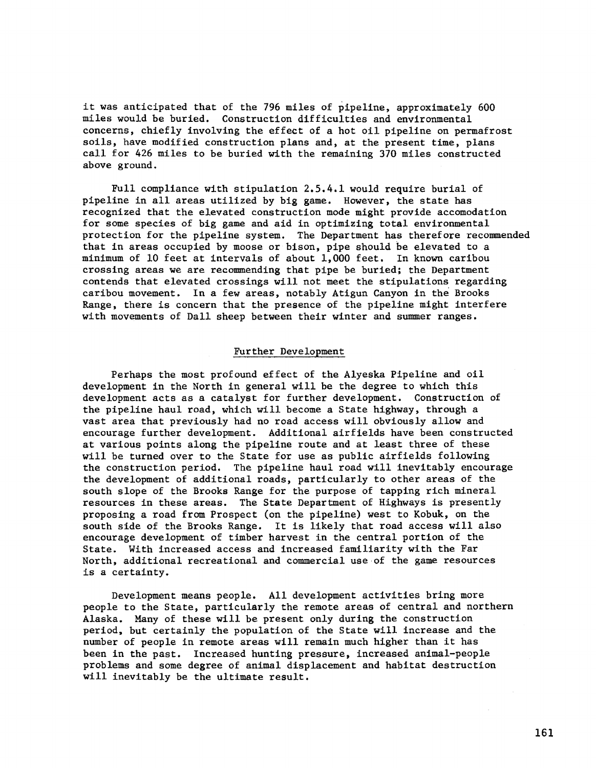it was anticipated that of the 796 miles of pipeline, approximately 600 miles would be buried. Construction difficulties and environmental concerns, chiefly involving the effect of a hot oil pipeline on permafrost soils, have modified construction plans and, at the present time, plans call for 426 miles to be buried with the remaining 370 miles constructed above ground.

Full compliance with stipulation 2.5.4.1 would require burial of pipeline in all areas utilized by big game. However, the state has recognized that the elevated construction mode might provide accomodation for some species of big game and aid in optimizing total environmental protection for the pipeline system. The Department has therefore recommended that in areas occupied by moose or bison, pipe should be elevated to a minimum of 10 feet at intervals of about 1,000 feet. In known caribou crossing areas we are recommending that pipe be buried; the Department contends that elevated crossings will not meet the stipulations regarding caribou movement. In a few areas, notably Atigun Canyon in the Brooks Range, there is concern that the presence of the pipeline might interfere with movements of Dall sheep between their winter and summer ranges.

# Further Development

Perhaps the most profound effect of the Alyeska Pipeline and oil development in the North in general will be the degree to which this development acts as a catalyst for further development. Construction of the pipeline haul road, which will become a State highway, through a vast area that previously had no road access will obviously allow and encourage further development. Additional airfields have been constructed at various points along the pipeline route and at least three of these will be turned over to the State for use as public airfields following the construction period. The pipeline haul road will inevitably encourage the development of additional roads, particularly to other areas of the south slope of the Brooks Range for the purpose of tapping rich mineral resources in these areas. The State Department of Highways is presently proposing a road from Prospect (on the pipeline) west to Kobuk, on the south side of the Brooks Range. It is likely that road access will also encourage development of timber harvest in the central portion of the State. With increased access and increased familiarity with the Far North, additional recreational and commercial use of the game resources is a certainty.

Development means people. All development activities bring more people to the State, particularly the remote areas of central and northern Alaska. Many of these will be present only during the construction period, but certainly the population of the State will increase and the number of people in remote areas will remain much higher than it has been in the past. Increased hunting pressure, increased animal-people problems and some degree of animal displacement and habitat destruction will inevitably be the ultimate result.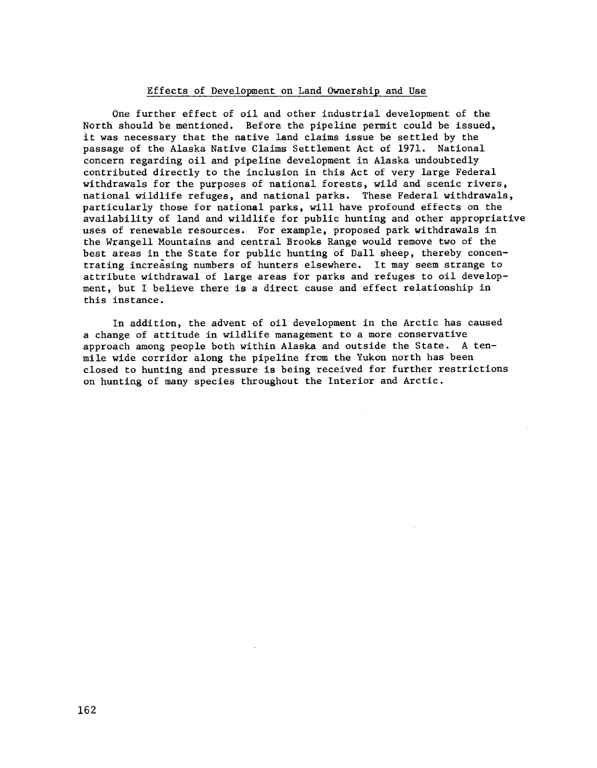# Effects of Development on Land Ownership and Use

One further effect of oil and other industrial development of the North should be mentioned. Before the pipeline permit could be issued, it was necessary that the native land claims issue be settled by the passage of the Alaska Native Claims Settlement Act of 1971. National concern regarding oil and pipeline development in Alaska undoubtedly contributed directly to the inclusion in this Act of very large Federal withdrawals for the purposes of national forests, wild and scenic rivers, national wildlife refuges, and national parks. These Federal withdrawals, particularly those for national parks, will have profound effects on the availability of land and wildlife for public hunting and other appropriative uses of renewable resources. For example, proposed park withdrawals in the Wrangell Mountains and central Brooks Range would remove two of the best areas in the State for public hunting of Dall sheep, thereby concentrating increasing numbers of hunters elsewhere. It may seem strange to attribute withdrawal of large areas for parks and refuges to oil development, but I believe there is a direct cause and effect relationship in this instance.

In addition, the advent of oil development in the Arctic has caused a change of attitude in wildlife management to a more conservative approach among people both within Alaska and outside the State. A tenmile wide corridor along the pipeline from the Yukon north has been closed to hunting and pressure is being received for further restrictions on hunting of many species throughout the Interior and Arctic.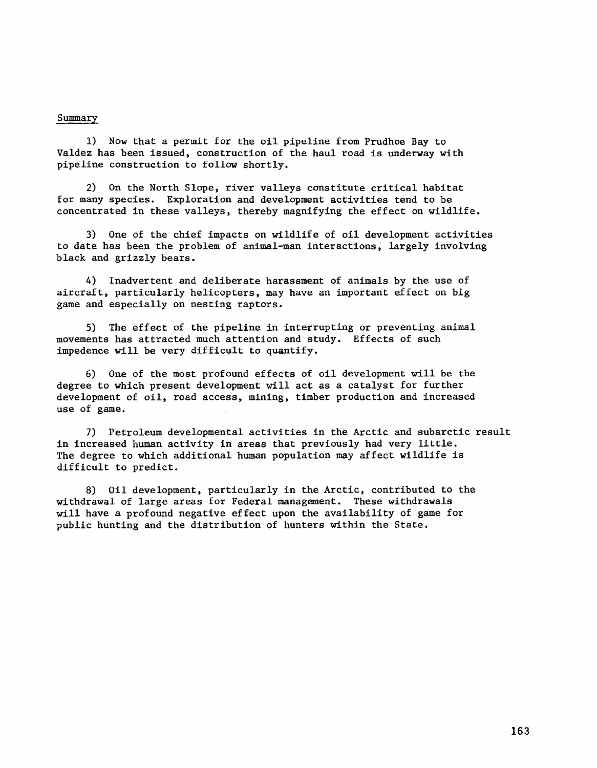## Summary

1) Now that a permit for the oil pipeline from Prudhoe Bay to Valdez has been issued, construction of the haul road is underway with pipeline construction to follow shortly.

2) On the North Slope, river valleys constitute critical habitat for many species. Exploration and development activities tend to be concentrated in these valleys, thereby magnifying the effect on wildlife.

3) One of the chief impacts on wildlife of oil development activities to date has been the problem of animal-man interactions, largely involving black and grizzly bears.

4) Inadvertent and deliberate harassment of animals by the use of aircraft, particularly helicopters, may have an important effect on big game and especially on nesting raptors.

5) The effect of the pipeline in interrupting or preventing animal movements has attracted much attention and study. Effects of such impedence will be very difficult to quantify.

6) One of the most profound effects of oil development will be the degree to which present development will act as a catalyst for further development of oil, road access, mining, timber production and increased use of game.

7) Petroleum developmental activities in the Arctic and subarctic result in increased human activity in areas that previously had very little. The degree to which additional human population may affect wildlife is difficult to predict.

8) Oil development, particularly in the Arctic, contributed to the withdrawal of large areas for Federal management. These withdrawals will have a profound negative effect upon the availability of game for public hunting and the distribution of hunters within the State.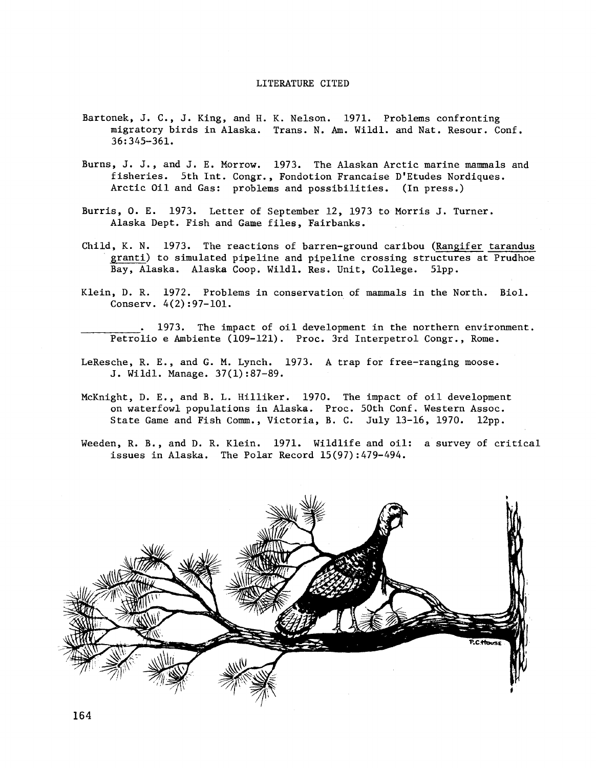#### LITERATURE CITED

- Bartonek, J. C., J. King, and H. K. Nelson. 1971. Problems confronting migratory birds in Alaska. Trans. N. Am. Wild!. and Nat. Resour. Conf. 36:345-361.
- Burns, J. J., and J. E. Morrow. 1973. The Alaskan Arctic marine mammals and fisheries. 5th Int. Congr., Fondotion Francaise D'Etudes Nordiques. Arctic Oil and Gas: problems and possibilities. (In press.)
- Burris, 0. E. 1973. Letter of September 12, 1973 to Morris J. Turner. Alaska Dept. Fish and Game files, Fairbanks.
- Child, K. N. 1973. The reactions of barren-ground caribou (Rangifer tarandus granti) to simulated pipeline and pipeline crossing structures at Prudhoe Bay, Alaska. Alaska Coop. Wildl. Res. Unit, College. 51pp.
- Klein, D. R. 1972. Problems in conservation of mammals in the North. Biol. Conserv. 4(2):97-101.
	- 1973. The impact of oil development in the northern environment. Petrolia e Ambiente (109-121). Proc. 3rd Interpetrol Congr., Rome.
- LeResche, R. E., and G. M. Lynch. 1973. A trap for free-ranging moose. J. Wildl. Manage. 37(1):87-89.
- McKnight, D. E., and B. L. Hilliker. 1970. The impact of oil development on waterfowl populations in Alaska. Proc. 50th Conf. Western Assoc. State Game and Fish Comm., Victoria, B. C. July 13-16, 1970. 12pp.
- Weeden, R. B., and D. R. Klein. 1971. Wildlife and oil: a survey of critical issues in Alaska. The Polar Record 15(97):479-494.